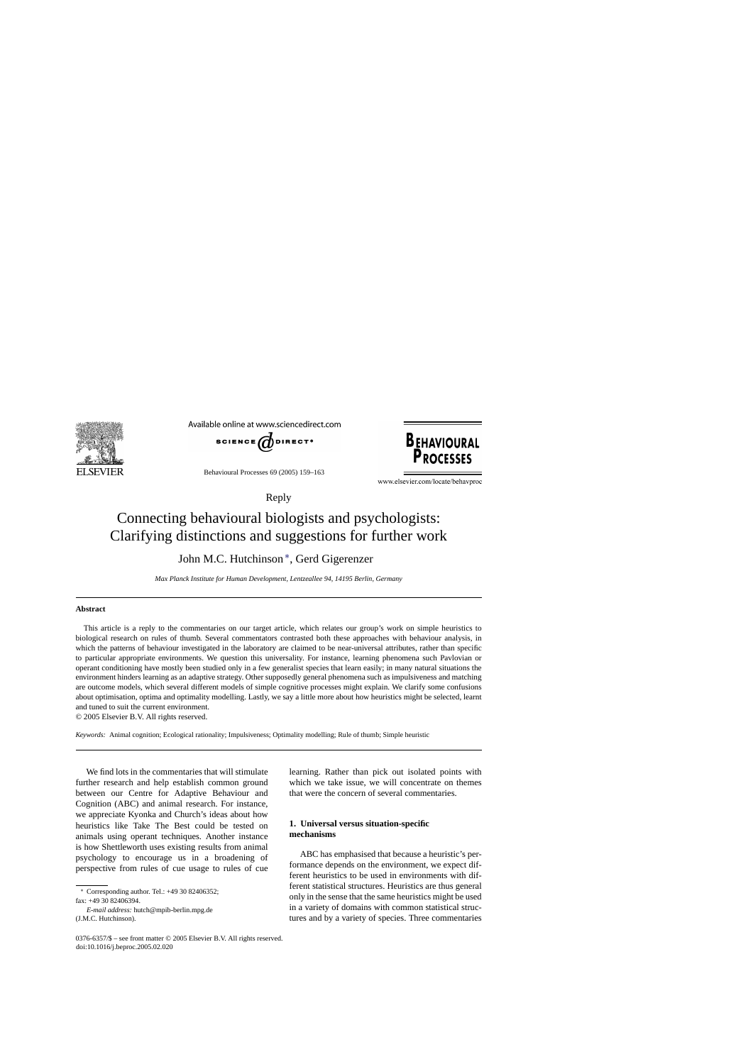

Available online at www.sciencedirect.com



Behavioural Processes 69 (2005) 159–163



www.elsevier.com/locate/behavproc

Reply

# Connecting behavioural biologists and psychologists: Clarifying distinctions and suggestions for further work

John M.C. Hutchinson ∗, Gerd Gigerenzer

*Max Planck Institute for Human Development, Lentzeallee 94, 14195 Berlin, Germany*

## **Abstract**

This article is a reply to the commentaries on our target article, which relates our group's work on simple heuristics to biological research on rules of thumb. Several commentators contrasted both these approaches with behaviour analysis, in which the patterns of behaviour investigated in the laboratory are claimed to be near-universal attributes, rather than specific to particular appropriate environments. We question this universality. For instance, learning phenomena such Pavlovian or operant conditioning have mostly been studied only in a few generalist species that learn easily; in many natural situations the environment hinders learning as an adaptive strategy. Other supposedly general phenomena such as impulsiveness and matching are outcome models, which several different models of simple cognitive processes might explain. We clarify some confusions about optimisation, optima and optimality modelling. Lastly, we say a little more about how heuristics might be selected, learnt and tuned to suit the current environment.

© 2005 Elsevier B.V. All rights reserved.

*Keywords:* Animal cognition; Ecological rationality; Impulsiveness; Optimality modelling; Rule of thumb; Simple heuristic

We find lots in the commentaries that will stimulate further research and help establish common ground between our Centre for Adaptive Behaviour and Cognition (ABC) and animal research. For instance, we appreciate Kyonka and Church's ideas about how heuristics like Take The Best could be tested on animals using operant techniques. Another instance is how Shettleworth uses existing results from animal psychology to encourage us in a broadening of perspective from rules of cue usage to rules of cue

∗ Corresponding author. Tel.: +49 30 82406352; fax: +49 30 82406394.

*E-mail address:* hutch@mpib-berlin.mpg.de (J.M.C. Hutchinson).

learning. Rather than pick out isolated points with which we take issue, we will concentrate on themes that were the concern of several commentaries.

## **1. Universal versus situation-specific mechanisms**

ABC has emphasised that because a heuristic's performance depends on the environment, we expect different heuristics to be used in environments with different statistical structures. Heuristics are thus general only in the sense that the same heuristics might be used in a variety of domains with common statistical structures and by a variety of species. Three commentaries

<sup>0376-6357/\$ –</sup> see front matter © 2005 Elsevier B.V. All rights reserved. doi:10.1016/j.beproc.2005.02.020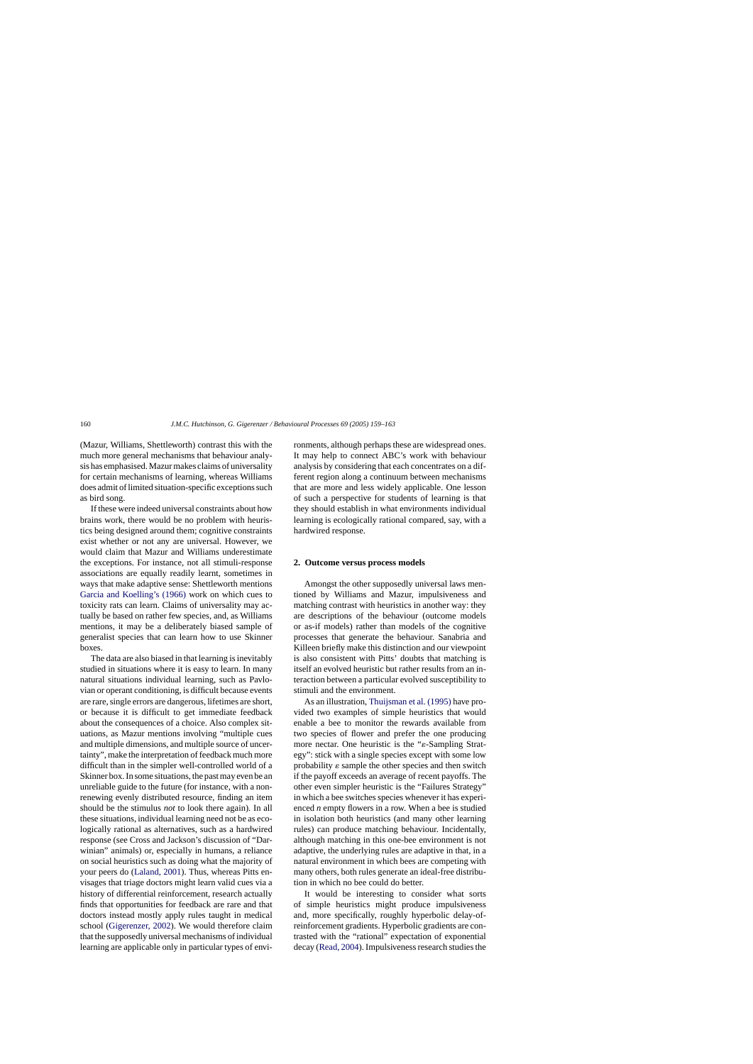(Mazur, Williams, Shettleworth) contrast this with the much more general mechanisms that behaviour analysis has emphasised. Mazur makes claims of universality for certain mechanisms of learning, whereas Williams does admit of limited situation-specific exceptions such as bird song.

If these were indeed universal constraints about how brains work, there would be no problem with heuristics being designed around them; cognitive constraints exist whether or not any are universal. However, we would claim that Mazur and Williams underestimate the exceptions. For instance, not all stimuli-response associations are equally readily learnt, sometimes in ways that make adaptive sense: Shettleworth mentions [Garcia and Koelling's \(1966\)](#page-4-0) work on which cues to toxicity rats can learn. Claims of universality may actually be based on rather few species, and, as Williams mentions, it may be a deliberately biased sample of generalist species that can learn how to use Skinner boxes.

The data are also biased in that learning is inevitably studied in situations where it is easy to learn. In many natural situations individual learning, such as Pavlovian or operant conditioning, is difficult because events are rare, single errors are dangerous, lifetimes are short, or because it is difficult to get immediate feedback about the consequences of a choice. Also complex situations, as Mazur mentions involving "multiple cues and multiple dimensions, and multiple source of uncertainty", make the interpretation of feedback much more difficult than in the simpler well-controlled world of a Skinner box. In some situations, the past may even be an unreliable guide to the future (for instance, with a nonrenewing evenly distributed resource, finding an item should be the stimulus *not* to look there again). In all these situations, individual learning need not be as ecologically rational as alternatives, such as a hardwired response (see Cross and Jackson's discussion of "Darwinian" animals) or, especially in humans, a reliance on social heuristics such as doing what the majority of your peers do [\(Laland, 2001\).](#page-4-0) Thus, whereas Pitts envisages that triage doctors might learn valid cues via a history of differential reinforcement, research actually finds that opportunities for feedback are rare and that doctors instead mostly apply rules taught in medical school ([Gigerenzer, 2002\).](#page-4-0) We would therefore claim that the supposedly universal mechanisms of individual learning are applicable only in particular types of environments, although perhaps these are widespread ones. It may help to connect ABC's work with behaviour analysis by considering that each concentrates on a different region along a continuum between mechanisms that are more and less widely applicable. One lesson of such a perspective for students of learning is that they should establish in what environments individual learning is ecologically rational compared, say, with a hardwired response.

### **2. Outcome versus process models**

Amongst the other supposedly universal laws mentioned by Williams and Mazur, impulsiveness and matching contrast with heuristics in another way: they are descriptions of the behaviour (outcome models or as-if models) rather than models of the cognitive processes that generate the behaviour. Sanabria and Killeen briefly make this distinction and our viewpoint is also consistent with Pitts' doubts that matching is itself an evolved heuristic but rather results from an interaction between a particular evolved susceptibility to stimuli and the environment.

As an illustration, [Thuijsman et al. \(1995\)](#page-4-0) have provided two examples of simple heuristics that would enable a bee to monitor the rewards available from two species of flower and prefer the one producing more nectar. One heuristic is the " $\varepsilon$ -Sampling Strategy": stick with a single species except with some low probability  $\varepsilon$  sample the other species and then switch if the payoff exceeds an average of recent payoffs. The other even simpler heuristic is the "Failures Strategy" in which a bee switches species whenever it has experienced *n* empty flowers in a row. When a bee is studied in isolation both heuristics (and many other learning rules) can produce matching behaviour. Incidentally, although matching in this one-bee environment is not adaptive, the underlying rules are adaptive in that, in a natural environment in which bees are competing with many others, both rules generate an ideal-free distribution in which no bee could do better.

It would be interesting to consider what sorts of simple heuristics might produce impulsiveness and, more specifically, roughly hyperbolic delay-ofreinforcement gradients. Hyperbolic gradients are contrasted with the "rational" expectation of exponential decay ([Read, 2004\).](#page-4-0) Impulsiveness research studies the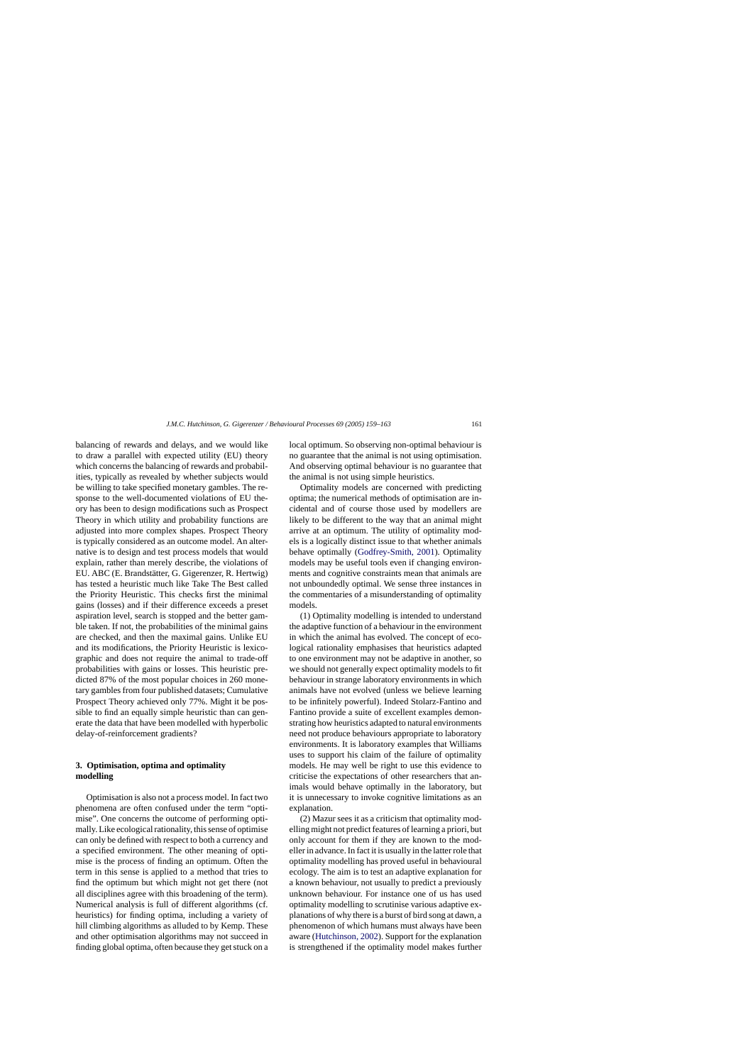balancing of rewards and delays, and we would like to draw a parallel with expected utility (EU) theory which concerns the balancing of rewards and probabilities, typically as revealed by whether subjects would be willing to take specified monetary gambles. The response to the well-documented violations of EU theory has been to design modifications such as Prospect Theory in which utility and probability functions are adjusted into more complex shapes. Prospect Theory is typically considered as an outcome model. An alternative is to design and test process models that would explain, rather than merely describe, the violations of EU. ABC (E. Brandstätter, G. Gigerenzer, R. Hertwig) has tested a heuristic much like Take The Best called the Priority Heuristic. This checks first the minimal gains (losses) and if their difference exceeds a preset aspiration level, search is stopped and the better gamble taken. If not, the probabilities of the minimal gains are checked, and then the maximal gains. Unlike EU and its modifications, the Priority Heuristic is lexicographic and does not require the animal to trade-off probabilities with gains or losses. This heuristic predicted 87% of the most popular choices in 260 monetary gambles from four published datasets; Cumulative Prospect Theory achieved only 77%. Might it be possible to find an equally simple heuristic than can generate the data that have been modelled with hyperbolic delay-of-reinforcement gradients?

## **3. Optimisation, optima and optimality modelling**

Optimisation is also not a process model. In fact two phenomena are often confused under the term "optimise". One concerns the outcome of performing optimally. Like ecological rationality, this sense of optimise can only be defined with respect to both a currency and a specified environment. The other meaning of optimise is the process of finding an optimum. Often the term in this sense is applied to a method that tries to find the optimum but which might not get there (not all disciplines agree with this broadening of the term). Numerical analysis is full of different algorithms (cf. heuristics) for finding optima, including a variety of hill climbing algorithms as alluded to by Kemp. These and other optimisation algorithms may not succeed in finding global optima, often because they get stuck on a local optimum. So observing non-optimal behaviour is no guarantee that the animal is not using optimisation. And observing optimal behaviour is no guarantee that the animal is not using simple heuristics.

Optimality models are concerned with predicting optima; the numerical methods of optimisation are incidental and of course those used by modellers are likely to be different to the way that an animal might arrive at an optimum. The utility of optimality models is a logically distinct issue to that whether animals behave optimally [\(Godfrey-Smith, 2001\).](#page-4-0) Optimality models may be useful tools even if changing environments and cognitive constraints mean that animals are not unboundedly optimal. We sense three instances in the commentaries of a misunderstanding of optimality models.

(1) Optimality modelling is intended to understand the adaptive function of a behaviour in the environment in which the animal has evolved. The concept of ecological rationality emphasises that heuristics adapted to one environment may not be adaptive in another, so we should not generally expect optimality models to fit behaviour in strange laboratory environments in which animals have not evolved (unless we believe learning to be infinitely powerful). Indeed Stolarz-Fantino and Fantino provide a suite of excellent examples demonstrating how heuristics adapted to natural environments need not produce behaviours appropriate to laboratory environments. It is laboratory examples that Williams uses to support his claim of the failure of optimality models. He may well be right to use this evidence to criticise the expectations of other researchers that animals would behave optimally in the laboratory, but it is unnecessary to invoke cognitive limitations as an explanation.

(2) Mazur sees it as a criticism that optimality modelling might not predict features of learning a priori, but only account for them if they are known to the modeller in advance. In fact it is usually in the latter role that optimality modelling has proved useful in behavioural ecology. The aim is to test an adaptive explanation for a known behaviour, not usually to predict a previously unknown behaviour. For instance one of us has used optimality modelling to scrutinise various adaptive explanations of why there is a burst of bird song at dawn, a phenomenon of which humans must always have been aware ([Hutchinson, 2002\).](#page-4-0) Support for the explanation is strengthened if the optimality model makes further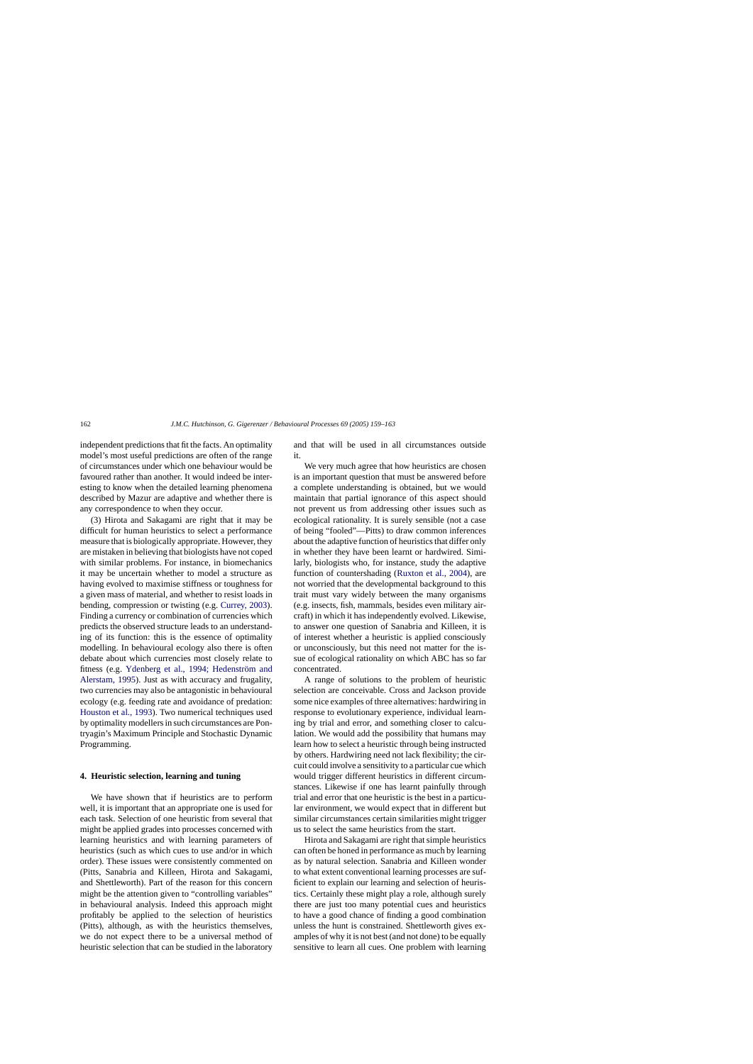independent predictions that fit the facts. An optimality model's most useful predictions are often of the range of circumstances under which one behaviour would be favoured rather than another. It would indeed be interesting to know when the detailed learning phenomena described by Mazur are adaptive and whether there is any correspondence to when they occur.

(3) Hirota and Sakagami are right that it may be difficult for human heuristics to select a performance measure that is biologically appropriate. However, they are mistaken in believing that biologists have not coped with similar problems. For instance, in biomechanics it may be uncertain whether to model a structure as having evolved to maximise stiffness or toughness for a given mass of material, and whether to resist loads in bending, compression or twisting (e.g. [Currey, 2003\).](#page-4-0) Finding a currency or combination of currencies which predicts the observed structure leads to an understanding of its function: this is the essence of optimality modelling. In behavioural ecology also there is often debate about which currencies most closely relate to fitness (e.g. Ydenberg et al., 1994; Hedenström and [Alerstam, 1995\).](#page-4-0) Just as with accuracy and frugality, two currencies may also be antagonistic in behavioural ecology (e.g. feeding rate and avoidance of predation: [Houston et al., 1993\).](#page-4-0) Two numerical techniques used by optimality modellers in such circumstances are Pontryagin's Maximum Principle and Stochastic Dynamic Programming.

#### **4. Heuristic selection, learning and tuning**

We have shown that if heuristics are to perform well, it is important that an appropriate one is used for each task. Selection of one heuristic from several that might be applied grades into processes concerned with learning heuristics and with learning parameters of heuristics (such as which cues to use and/or in which order). These issues were consistently commented on (Pitts, Sanabria and Killeen, Hirota and Sakagami, and Shettleworth). Part of the reason for this concern might be the attention given to "controlling variables" in behavioural analysis. Indeed this approach might profitably be applied to the selection of heuristics (Pitts), although, as with the heuristics themselves, we do not expect there to be a universal method of heuristic selection that can be studied in the laboratory and that will be used in all circumstances outside it.

We very much agree that how heuristics are chosen is an important question that must be answered before a complete understanding is obtained, but we would maintain that partial ignorance of this aspect should not prevent us from addressing other issues such as ecological rationality. It is surely sensible (not a case of being "fooled"—Pitts) to draw common inferences about the adaptive function of heuristics that differ only in whether they have been learnt or hardwired. Similarly, biologists who, for instance, study the adaptive function of countershading [\(Ruxton et al., 2004\)](#page-4-0), are not worried that the developmental background to this trait must vary widely between the many organisms (e.g. insects, fish, mammals, besides even military aircraft) in which it has independently evolved. Likewise, to answer one question of Sanabria and Killeen, it is of interest whether a heuristic is applied consciously or unconsciously, but this need not matter for the issue of ecological rationality on which ABC has so far concentrated.

A range of solutions to the problem of heuristic selection are conceivable. Cross and Jackson provide some nice examples of three alternatives: hardwiring in response to evolutionary experience, individual learning by trial and error, and something closer to calculation. We would add the possibility that humans may learn how to select a heuristic through being instructed by others. Hardwiring need not lack flexibility; the circuit could involve a sensitivity to a particular cue which would trigger different heuristics in different circumstances. Likewise if one has learnt painfully through trial and error that one heuristic is the best in a particular environment, we would expect that in different but similar circumstances certain similarities might trigger us to select the same heuristics from the start.

Hirota and Sakagami are right that simple heuristics can often be honed in performance as much by learning as by natural selection. Sanabria and Killeen wonder to what extent conventional learning processes are sufficient to explain our learning and selection of heuristics. Certainly these might play a role, although surely there are just too many potential cues and heuristics to have a good chance of finding a good combination unless the hunt is constrained. Shettleworth gives examples of why it is not best (and not done) to be equally sensitive to learn all cues. One problem with learning